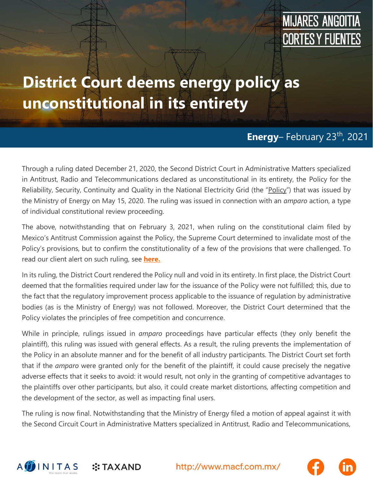## **MIJARES ANGOITIA CORTES Y FUENTES**

## **District Court deems energy policy as unconstitutional in its entirety**

#### **Energy-February 23th, 2021**

Through a ruling dated December 21, 2020, the Second District Court in Administrative Matters specialized in Antitrust, Radio and Telecommunications declared as unconstitutional in its entirety, the Policy for the Reliability, Security, Continuity and Quality in the National Electricity Grid (the "Policy") that was issued by the Ministry of Energy on May 15, 2020. The ruling was issued in connection with an *amparo* action, a type of individual constitutional review proceeding.

The above, notwithstanding that on February 3, 2021, when ruling on the constitutional claim filed by Mexico's Antitrust Commission against the Policy, the Supreme Court determined to invalidate most of the Policy's provisions, but to confirm the constitutionality of a few of the provisions that were challenged. To read our client alert on such ruling, see **[here.](https://macf.com.mx/administrador/assets/uploads/files/seasons/0788f-clientalert_energy0802_eng.pdf)**

In its ruling, the District Court rendered the Policy null and void in its entirety. In first place, the District Court deemed that the formalities required under law for the issuance of the Policy were not fulfilled; this, due to the fact that the regulatory improvement process applicable to the issuance of regulation by administrative bodies (as is the Ministry of Energy) was not followed. Moreover, the District Court determined that the Policy violates the principles of free competition and concurrence.

While in principle, rulings issued in *amparo* proceedings have particular effects (they only benefit the plaintiff), this ruling was issued with general effects. As a result, the ruling prevents the implementation of the Policy in an absolute manner and for the benefit of all industry participants. The District Court set forth that if the *amparo* were granted only for the benefit of the plaintiff, it could cause precisely the negative adverse effects that it seeks to avoid: it would result, not only in the granting of competitive advantages to the plaintiffs over other participants, but also, it could create market distortions, affecting competition and the development of the sector, as well as impacting final users.

The ruling is now final. Notwithstanding that the Ministry of Energy filed a motion of appeal against it with the Second Circuit Court in Administrative Matters specialized in Antitrust, Radio and Telecommunications,



 $::$ TAXAND

http://www.macf.com.mx/